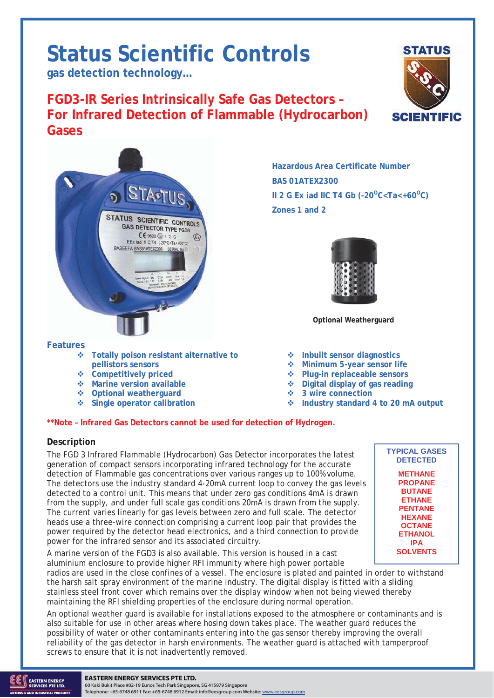# **Status Scientific Controls**

**gas detection technology…** 

**FGD3-IR Series Intrinsically Safe Gas Detectors – For Infrared Detection of Flammable (Hydrocarbon) Gases**



**Features**

- **Totally poison resistant alternative to pellistors sensors**<br> $\div$  Competitively priced
- 
- **Marine version available Digital display of gas reading**
- **Optional weatherguard 3 wire connection**
- 

## **Hazardous Area Certificate Number BAS 01ATEX2300 II 2 G Ex iad IIC T4 Gb (-20<sup>o</sup>C<Ta<+60<sup>o</sup>C) Zones 1 and 2**



**Optional Weatherguard** 

- ◆ Inbuilt sensor diagnostics
	- **Minimum 5-year sensor life**
	- ◆ Plug-in replaceable sensors
	-
	-
	- **Single operator calibration Industry standard 4 to 20 mA output**

#### **\*\*Note – Infrared Gas Detectors cannot be used for detection of Hydrogen.**

#### **Description**

The FGD 3 Infrared Flammable (Hydrocarbon) Gas Detector incorporates the latest generation of compact sensors incorporating infrared technology for the accurate detection of Flammable gas concentrations over various ranges up to 100% volume. The detectors use the industry standard 4-20mA current loop to convey the gas levels detected to a control unit. This means that under zero gas conditions 4mA is drawn from the supply, and under full scale gas conditions 20mA is drawn from the supply. The current varies linearly for gas levels between zero and full scale. The detector heads use a three-wire connection comprising a current loop pair that provides the power required by the detector head electronics, and a third connection to provide power for the infrared sensor and its associated circuitry.

A marine version of the FGD3 is also available. This version is housed in a cast aluminium enclosure to provide higher RFI immunity where high power portable

radios are used in the close confines of a vessel. The enclosure is plated and painted in order to withstand the harsh salt spray environment of the marine industry. The digital display is fitted with a sliding stainless steel front cover which remains over the display window when not being viewed thereby maintaining the RFI shielding properties of the enclosure during normal operation.

An optional weather guard is available for installations exposed to the atmosphere or contaminants and is also suitable for use in other areas where hosing down takes place. The weather guard reduces the possibility of water or other contaminants entering into the gas sensor thereby improving the overall reliability of the gas detector in harsh environments. The weather guard is attached with tamperproof screws to ensure that it is not inadvertently removed.





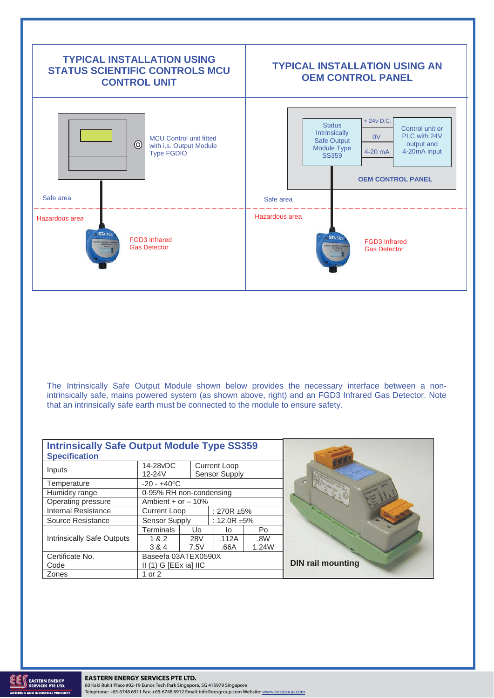

The Intrinsically Safe Output Module shown below provides the necessary interface between a nonintrinsically safe, mains powered system (as shown above, right) and an FGD3 Infrared Gas Detector. Note that an intrinsically safe earth must be connected to the module to ensure safety.

| <b>Intrinsically Safe Output Module Type SS359</b><br><b>Specification</b> |                         |            |                                      |       |                          |
|----------------------------------------------------------------------------|-------------------------|------------|--------------------------------------|-------|--------------------------|
| Inputs                                                                     | 14-28vDC<br>$12 - 24V$  |            | <b>Current Loop</b><br>Sensor Supply |       |                          |
| Temperature                                                                | $-20 - +40$ °C          |            |                                      |       |                          |
| Humidity range                                                             | 0-95% RH non-condensing |            |                                      |       |                          |
| Operating pressure                                                         | Ambient + or $-10%$     |            |                                      |       |                          |
| <b>Internal Resistance</b>                                                 | Current Loop            |            | : 270R $\pm$ 5%                      |       |                          |
| Source Resistance                                                          | Sensor Supply           |            | : 12.0R $\pm$ 5%                     |       |                          |
|                                                                            | Terminals               | Uo.        | lo.                                  | Po    |                          |
| <b>Intrinsically Safe Outputs</b>                                          | 1 & 2                   | <b>28V</b> | .112A                                | .8W   |                          |
|                                                                            | 3 & 4                   | 7.5V       | .66A                                 | 1.24W |                          |
| Certificate No.                                                            | Baseefa 03ATEX0590X     |            |                                      |       |                          |
| Code                                                                       | $II(1)$ G [EEx ia] IIC  |            |                                      |       | <b>DIN rail mounting</b> |
| Zones                                                                      | 1 or 2                  |            |                                      |       |                          |

ND INDUSTRIAL PRODUCTS